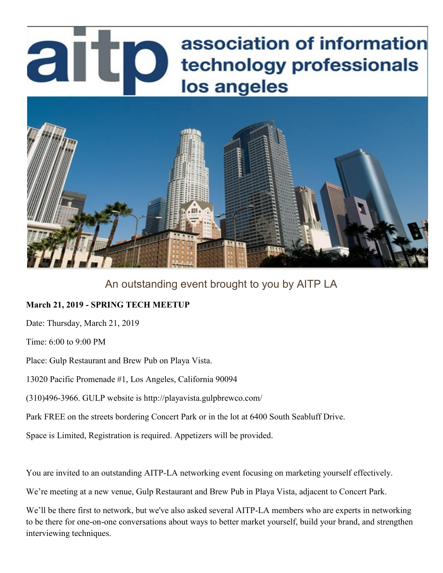## association of information artp technology professionals los angeles



## An outstanding event brought to you by AITP LA

## **March 21, 2019 - SPRING TECH MEETUP**

Date: Thursday, March 21, 2019

Time: 6:00 to 9:00 PM

Place: Gulp Restaurant and Brew Pub on Playa Vista.

13020 Pacific Promenade #1, Los Angeles, California 90094

(310)496-3966. GULP website is http://playavista.gulpbrewco.com/

Park FREE on the streets bordering Concert Park or in the lot at 6400 South Seabluff Drive.

Space is Limited, Registration is required. Appetizers will be provided.

You are invited to an outstanding AITP-LA networking event focusing on marketing yourself effectively.

We're meeting at a new venue, Gulp Restaurant and Brew Pub in Playa Vista, adjacent to Concert Park.

We'll be there first to network, but we've also asked several AITP-LA members who are experts in networking to be there for one-on-one conversations about ways to better market yourself, build your brand, and strengthen interviewing techniques.